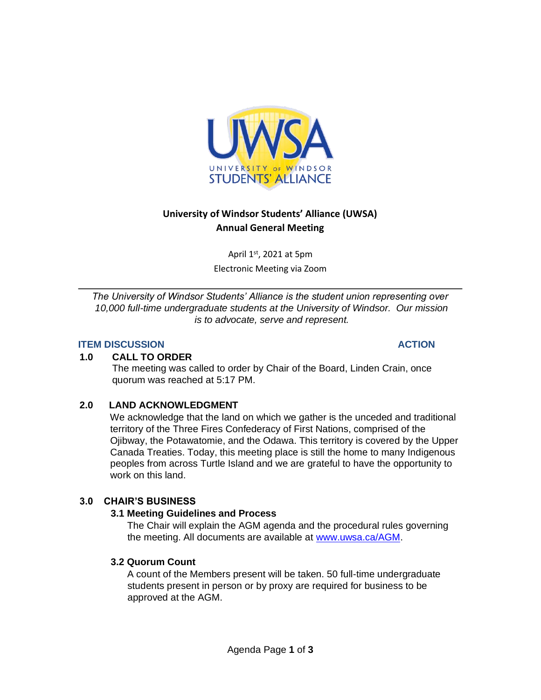

# **University of Windsor Students' Alliance (UWSA) Annual General Meeting**

April 1st, 2021 at 5pm Electronic Meeting via Zoom

*The University of Windsor Students' Alliance is the student union representing over 10,000 full-time undergraduate students at the University of Windsor. Our mission is to advocate, serve and represent.* 

# **ITEM DISCUSSION ACTION**

# **1.0 CALL TO ORDER**

The meeting was called to order by Chair of the Board, Linden Crain, once quorum was reached at 5:17 PM.

# **2.0 LAND ACKNOWLEDGMENT**

We acknowledge that the land on which we gather is the unceded and traditional territory of the Three Fires Confederacy of First Nations, comprised of the Ojibway, the Potawatomie, and the Odawa. This territory is covered by the Upper Canada Treaties. Today, this meeting place is still the home to many Indigenous peoples from across Turtle Island and we are grateful to have the opportunity to work on this land.

# **3.0 CHAIR'S BUSINESS**

## **3.1 Meeting Guidelines and Process**

The Chair will explain the AGM agenda and the procedural rules governing the meeting. All documents are available at www.uwsa.ca/AGM.

# **3.2 Quorum Count**

A count of the Members present will be taken. 50 full-time undergraduate students present in person or by proxy are required for business to be approved at the AGM.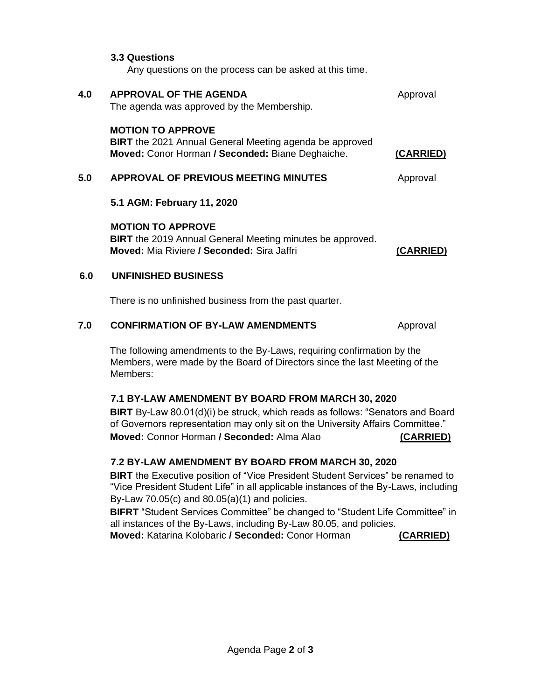|     | <b>MOTION TO APPROVE</b><br><b>BIRT</b> the 2019 Annual General Meeting minutes be approved.                                                   |           |
|-----|------------------------------------------------------------------------------------------------------------------------------------------------|-----------|
|     | 5.1 AGM: February 11, 2020                                                                                                                     |           |
| 5.0 | APPROVAL OF PREVIOUS MEETING MINUTES                                                                                                           | Approval  |
|     | <b>MOTION TO APPROVE</b><br><b>BIRT</b> the 2021 Annual General Meeting agenda be approved<br>Moved: Conor Horman / Seconded: Biane Deghaiche. | (CARRIED) |
| 4.0 | <b>APPROVAL OF THE AGENDA</b><br>The agenda was approved by the Membership.                                                                    | Approval  |
|     | <b>3.3 Questions</b><br>Any questions on the process can be asked at this time.                                                                |           |

There is no unfinished business from the past quarter.

# **7.0 CONFIRMATION OF BY-LAW AMENDMENTS** Approval

The following amendments to the By-Laws, requiring confirmation by the Members, were made by the Board of Directors since the last Meeting of the Members:

# **7.1 BY-LAW AMENDMENT BY BOARD FROM MARCH 30, 2020**

**BIRT** By-Law 80.01(d)(i) be struck, which reads as follows: "Senators and Board of Governors representation may only sit on the University Affairs Committee." **Moved:** Connor Horman **/ Seconded:** Alma Alao **(CARRIED)**

# **7.2 BY-LAW AMENDMENT BY BOARD FROM MARCH 30, 2020**

**BIRT** the Executive position of "Vice President Student Services" be renamed to "Vice President Student Life" in all applicable instances of the By-Laws, including By-Law 70.05(c) and 80.05(a)(1) and policies.

**BIFRT** "Student Services Committee" be changed to "Student Life Committee" in all instances of the By-Laws, including By-Law 80.05, and policies.

**Moved:** Katarina Kolobaric **/ Seconded:** Conor Horman **(CARRIED)**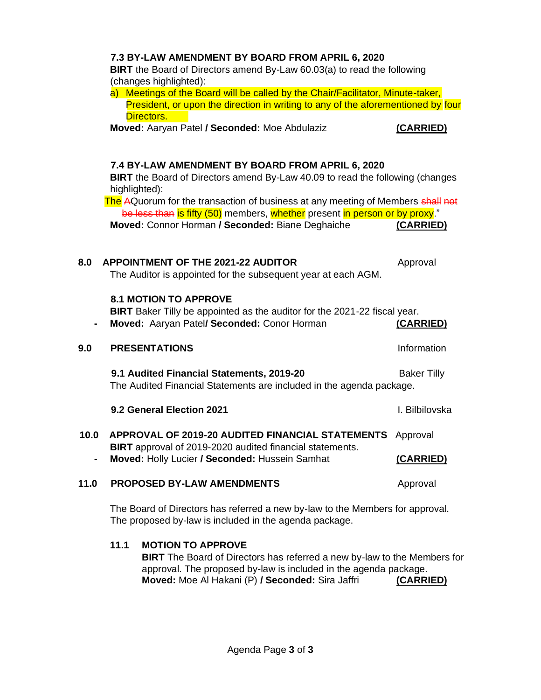|      | a) Meetings of the Board will be called by the Chair/Facilitator, Minute-taker,<br>President, or upon the direction in writing to any of the aforementioned by four                                                |                    |  |
|------|--------------------------------------------------------------------------------------------------------------------------------------------------------------------------------------------------------------------|--------------------|--|
|      | Directors.<br>Moved: Aaryan Patel / Seconded: Moe Abdulaziz                                                                                                                                                        | (CARRIED)          |  |
|      |                                                                                                                                                                                                                    |                    |  |
|      | 7.4 BY-LAW AMENDMENT BY BOARD FROM APRIL 6, 2020<br>BIRT the Board of Directors amend By-Law 40.09 to read the following (changes<br>highlighted):                                                                 |                    |  |
|      | The AQuorum for the transaction of business at any meeting of Members shall not<br>be less than is fifty (50) members, whether present in person or by proxy."<br>Moved: Connor Horman / Seconded: Biane Deghaiche | (CARRIED)          |  |
|      |                                                                                                                                                                                                                    |                    |  |
| 8.0  | <b>APPOINTMENT OF THE 2021-22 AUDITOR</b><br>The Auditor is appointed for the subsequent year at each AGM.                                                                                                         | Approval           |  |
|      | <b>8.1 MOTION TO APPROVE</b><br>BIRT Baker Tilly be appointed as the auditor for the 2021-22 fiscal year.<br>Moved: Aaryan Patel/ Seconded: Conor Horman                                                           | (CARRIED)          |  |
| 9.0  | <b>PRESENTATIONS</b>                                                                                                                                                                                               | Information        |  |
|      | 9.1 Audited Financial Statements, 2019-20<br>The Audited Financial Statements are included in the agenda package.                                                                                                  | <b>Baker Tilly</b> |  |
|      | 9.2 General Election 2021                                                                                                                                                                                          | I. Bilbilovska     |  |
| 10.0 | APPROVAL OF 2019-20 AUDITED FINANCIAL STATEMENTS<br>BIRT approval of 2019-2020 audited financial statements.                                                                                                       | Approval           |  |
|      | Moved: Holly Lucier / Seconded: Hussein Samhat                                                                                                                                                                     | (CARRIED)          |  |
| 11.0 | PROPOSED BY-LAW AMENDMENTS                                                                                                                                                                                         | Approval           |  |
|      | The Board of Directors has referred a new by-law to the Members for approval.<br>The proposed by-law is included in the agenda package.                                                                            |                    |  |

**7.3 BY-LAW AMENDMENT BY BOARD FROM APRIL 6, 2020**

(changes highlighted):

**BIRT** the Board of Directors amend By-Law 60.03(a) to read the following

# **11.1 MOTION TO APPROVE**

**BIRT** The Board of Directors has referred a new by-law to the Members for approval. The proposed by-law is included in the agenda package. **Moved:** Moe Al Hakani (P) **/ Seconded:** Sira Jaffri **(CARRIED)**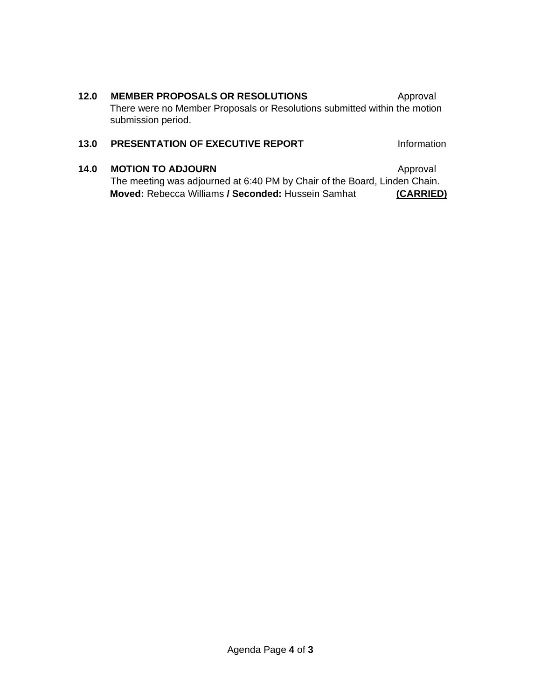# 12.0 **MEMBER PROPOSALS OR RESOLUTIONS** Approval

There were no Member Proposals or Resolutions submitted within the motion submission period.

# **13.0 PRESENTATION OF EXECUTIVE REPORT** Information

# **14.0 MOTION TO ADJOURN Approval**

 The meeting was adjourned at 6:40 PM by Chair of the Board, Linden Chain. **Moved:** Rebecca Williams **/ Seconded:** Hussein Samhat **(CARRIED)**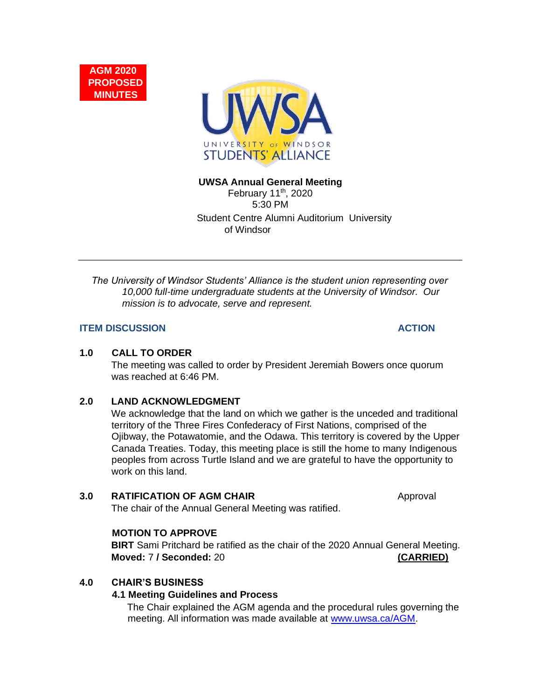



**UWSA Annual General Meeting**

Student Centre Alumni Auditorium University of Windsor February 11<sup>th</sup>, 2020 5:30 PM

*The University of Windsor Students' Alliance is the student union representing over 10,000 full-time undergraduate students at the University of Windsor. Our mission is to advocate, serve and represent.* 

# **ITEM DISCUSSION ACTION**

## **1.0 CALL TO ORDER**

The meeting was called to order by President Jeremiah Bowers once quorum was reached at 6:46 PM.

# **2.0 LAND ACKNOWLEDGMENT**

We acknowledge that the land on which we gather is the unceded and traditional territory of the Three Fires Confederacy of First Nations, comprised of the Ojibway, the Potawatomie, and the Odawa. This territory is covered by the Upper Canada Treaties. Today, this meeting place is still the home to many Indigenous peoples from across Turtle Island and we are grateful to have the opportunity to work on this land.

## **3.0 RATIFICATION OF AGM CHAIR MEASURE ADDEN APPROVAL**

The chair of the Annual General Meeting was ratified.

## **MOTION TO APPROVE**

**BIRT** Sami Pritchard be ratified as the chair of the 2020 Annual General Meeting. **Moved:** 7 **/ Seconded:** 20 **(CARRIED)**

## **4.0 CHAIR'S BUSINESS**

## **4.1 Meeting Guidelines and Process**

The Chair explained the AGM agenda and the procedural rules governing the meeting. All information was made available at [www.uwsa.ca/AGM.](http://www.uwsa.ca/AGM)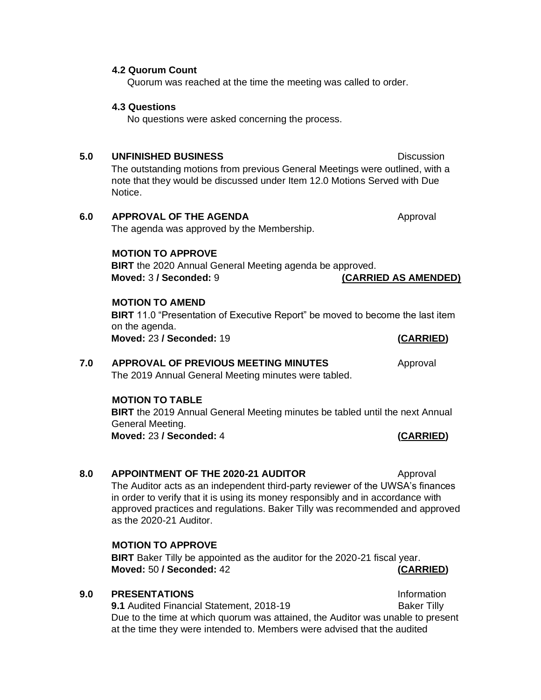#### **4.2 Quorum Count**

Quorum was reached at the time the meeting was called to order.

#### **4.3 Questions**

No questions were asked concerning the process.

## **5.0 UNFINISHED BUSINESS Discussion Discussion** The outstanding motions from previous General Meetings were outlined, with a note that they would be discussed under Item 12.0 Motions Served with Due Notice.

#### **6.0 APPROVAL OF THE AGENDA Approval Approval** The agenda was approved by the Membership.

**MOTION TO APPROVE** 

**BIRT** the 2020 Annual General Meeting agenda be approved. **Moved:** 3 **/ Seconded:** 9 **(CARRIED AS AMENDED)**

#### **MOTION TO AMEND**

**BIRT** 11.0 "Presentation of Executive Report" be moved to become the last item on the agenda. **Moved:** 23 **/ Seconded:** 19 **(CARRIED)**

**7.0 APPROVAL OF PREVIOUS MEETING MINUTES** Approval The 2019 Annual General Meeting minutes were tabled.

#### **MOTION TO TABLE**

**BIRT** the 2019 Annual General Meeting minutes be tabled until the next Annual General Meeting. **Moved:** 23 **/ Seconded:** 4 **(CARRIED)**

## 8.0 APPOINTMENT OF THE 2020-21 AUDITOR Approval

The Auditor acts as an independent third-party reviewer of the UWSA's finances in order to verify that it is using its money responsibly and in accordance with approved practices and regulations. Baker Tilly was recommended and approved as the 2020-21 Auditor.

#### **MOTION TO APPROVE**

**BIRT** Baker Tilly be appointed as the auditor for the 2020-21 fiscal year. **Moved:** 50 **/ Seconded:** 42 **(CARRIED)**

#### **9.0 PRESENTATIONS** Information

**9.1** Audited Financial Statement, 2018-19 Baker Tilly Due to the time at which quorum was attained, the Auditor was unable to present at the time they were intended to. Members were advised that the audited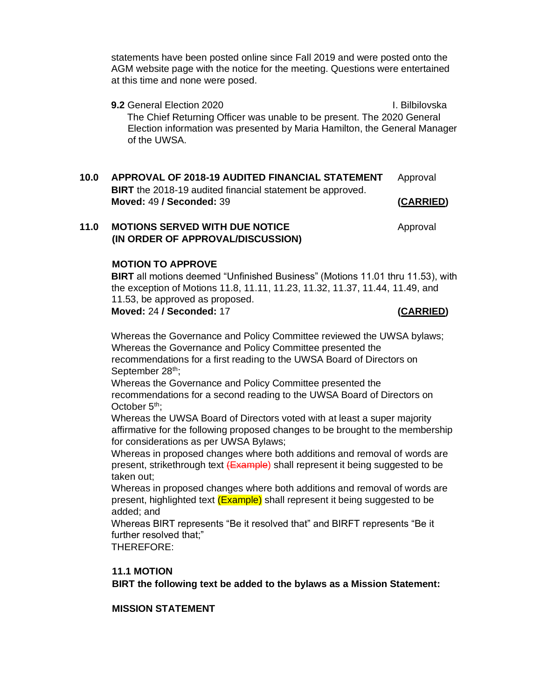statements have been posted online since Fall 2019 and were posted onto the AGM website page with the notice for the meeting. Questions were entertained at this time and none were posed.

**9.2** General Election 2020 **I.** Bilbilovska The Chief Returning Officer was unable to be present. The 2020 General Election information was presented by Maria Hamilton, the General Manager of the UWSA.

| 10.0 | APPROVAL OF 2018-19 AUDITED FINANCIAL STATEMENT                  | Approval         |
|------|------------------------------------------------------------------|------------------|
|      | <b>BIRT</b> the 2018-19 audited financial statement be approved. |                  |
|      | Moved: 49 / Seconded: 39                                         | <u>(CARRIED)</u> |

# **11.0 MOTIONS SERVED WITH DUE NOTICE THE SERVED WITH DUE NOTICE (IN ORDER OF APPROVAL/DISCUSSION)**

## **MOTION TO APPROVE**

**BIRT** all motions deemed "Unfinished Business" (Motions 11.01 thru 11.53), with the exception of Motions 11.8, 11.11, 11.23, 11.32, 11.37, 11.44, 11.49, and 11.53, be approved as proposed.

**Moved:** 24 **/ Seconded:** 17 **(CARRIED)**

Whereas the Governance and Policy Committee reviewed the UWSA bylaws; Whereas the Governance and Policy Committee presented the recommendations for a first reading to the UWSA Board of Directors on September 28<sup>th</sup>;

Whereas the Governance and Policy Committee presented the recommendations for a second reading to the UWSA Board of Directors on October  $5<sup>th</sup>$ :

Whereas the UWSA Board of Directors voted with at least a super majority affirmative for the following proposed changes to be brought to the membership for considerations as per UWSA Bylaws;

Whereas in proposed changes where both additions and removal of words are present, strikethrough text (Example) shall represent it being suggested to be taken out;

Whereas in proposed changes where both additions and removal of words are present, highlighted text (Example) shall represent it being suggested to be added; and

Whereas BIRT represents "Be it resolved that" and BIRFT represents "Be it further resolved that:"

THEREFORE:

## **11.1 MOTION**

**BIRT the following text be added to the bylaws as a Mission Statement:** 

# **MISSION STATEMENT**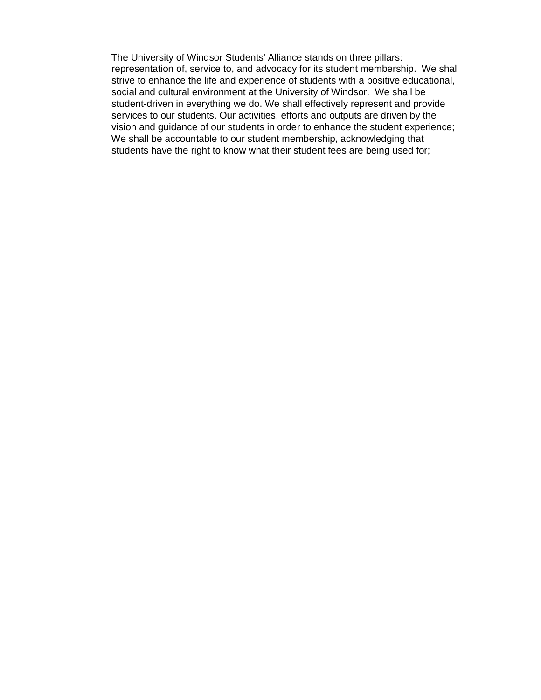The University of Windsor Students' Alliance stands on three pillars: representation of, service to, and advocacy for its student membership. We shall strive to enhance the life and experience of students with a positive educational, social and cultural environment at the University of Windsor. We shall be student-driven in everything we do. We shall effectively represent and provide services to our students. Our activities, efforts and outputs are driven by the vision and guidance of our students in order to enhance the student experience; We shall be accountable to our student membership, acknowledging that students have the right to know what their student fees are being used for;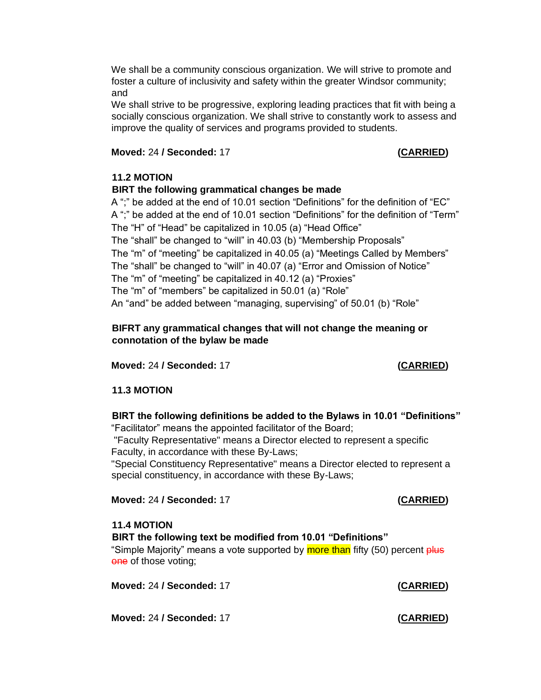We shall be a community conscious organization. We will strive to promote and foster a culture of inclusivity and safety within the greater Windsor community; and

We shall strive to be progressive, exploring leading practices that fit with being a socially conscious organization. We shall strive to constantly work to assess and improve the quality of services and programs provided to students.

## **Moved:** 24 **/ Seconded:** 17 **(CARRIED)**

# **11.2 MOTION**

## **BIRT the following grammatical changes be made**

A ";" be added at the end of 10.01 section "Definitions" for the definition of "EC" A ";" be added at the end of 10.01 section "Definitions" for the definition of "Term" The "H" of "Head" be capitalized in 10.05 (a) "Head Office" The "shall" be changed to "will" in 40.03 (b) "Membership Proposals" The "m" of "meeting" be capitalized in 40.05 (a) "Meetings Called by Members" The "shall" be changed to "will" in 40.07 (a) "Error and Omission of Notice" The "m" of "meeting" be capitalized in 40.12 (a) "Proxies" The "m" of "members" be capitalized in 50.01 (a) "Role" An "and" be added between "managing, supervising" of 50.01 (b) "Role"

# **BIFRT any grammatical changes that will not change the meaning or connotation of the bylaw be made**

**Moved:** 24 **/ Seconded:** 17 **(CARRIED)**

## **11.3 MOTION**

#### **BIRT the following definitions be added to the Bylaws in 10.01 "Definitions"**  "Facilitator" means the appointed facilitator of the Board;

"Faculty Representative" means a Director elected to represent a specific Faculty, in accordance with these By-Laws;

"Special Constituency Representative" means a Director elected to represent a special constituency, in accordance with these By-Laws;

## **Moved:** 24 **/ Seconded:** 17 **(CARRIED)**

## **11.4 MOTION**

## **BIRT the following text be modified from 10.01 "Definitions"**

"Simple Majority" means a vote supported by more than fifty (50) percent plus one of those voting;

**Moved:** 24 **/ Seconded:** 17 **(CARRIED)**

**Moved:** 24 **/ Seconded:** 17 **(CARRIED)**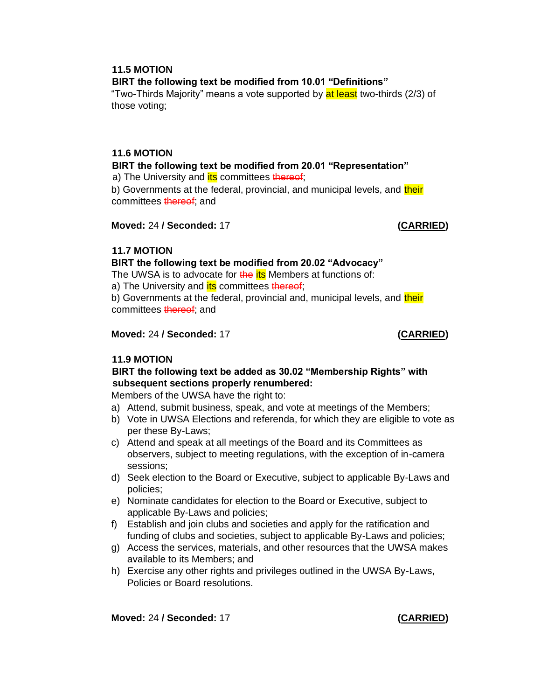# **11.5 MOTION**

# **BIRT the following text be modified from 10.01 "Definitions"**

"Two-Thirds Majority" means a vote supported by at least two-thirds (2/3) of those voting;

# **11.6 MOTION**

# **BIRT the following text be modified from 20.01 "Representation"**

a) The University and *its* committees thereof;

b) Governments at the federal, provincial, and municipal levels, and their committees thereof; and

**Moved:** 24 **/ Seconded:** 17 **(CARRIED)**

# **11.7 MOTION**

## **BIRT the following text be modified from 20.02 "Advocacy"**

The UWSA is to advocate for the *its* Members at functions of:

a) The University and **its** committees thereof;

b) Governments at the federal, provincial and, municipal levels, and their committees thereof; and

**Moved:** 24 **/ Seconded:** 17 **(CARRIED)**

# **11.9 MOTION**

# **BIRT the following text be added as 30.02 "Membership Rights" with subsequent sections properly renumbered:**

Members of the UWSA have the right to:

- a) Attend, submit business, speak, and vote at meetings of the Members;
- b) Vote in UWSA Elections and referenda, for which they are eligible to vote as per these By-Laws;
- c) Attend and speak at all meetings of the Board and its Committees as observers, subject to meeting regulations, with the exception of in-camera sessions;
- d) Seek election to the Board or Executive, subject to applicable By-Laws and policies;
- e) Nominate candidates for election to the Board or Executive, subject to applicable By-Laws and policies;
- f) Establish and join clubs and societies and apply for the ratification and funding of clubs and societies, subject to applicable By-Laws and policies;
- g) Access the services, materials, and other resources that the UWSA makes available to its Members; and
- h) Exercise any other rights and privileges outlined in the UWSA By-Laws, Policies or Board resolutions.

**Moved:** 24 **/ Seconded:** 17 **(CARRIED)**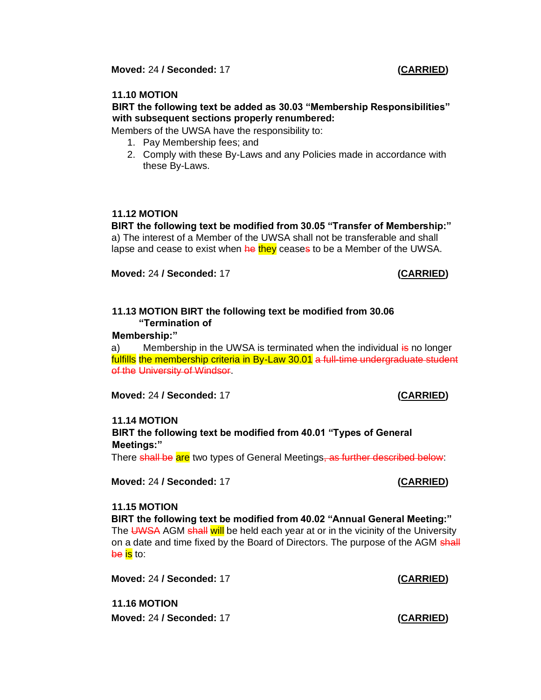**Moved:** 24 **/ Seconded:** 17 **(CARRIED)**

# **11.10 MOTION**

**BIRT the following text be added as 30.03 "Membership Responsibilities" with subsequent sections properly renumbered:** 

Members of the UWSA have the responsibility to:

- 1. Pay Membership fees; and
- 2. Comply with these By-Laws and any Policies made in accordance with these By-Laws.

# **11.12 MOTION**

**BIRT the following text be modified from 30.05 "Transfer of Membership:"**  a) The interest of a Member of the UWSA shall not be transferable and shall lapse and cease to exist when he they ceases to be a Member of the UWSA.

**Moved:** 24 **/ Seconded:** 17 **(CARRIED)**

## **11.13 MOTION BIRT the following text be modified from 30.06 "Termination of**

#### **Membership:"**

a) Membership in the UWSA is terminated when the individual  $\frac{1}{16}$  no longer fulfills the membership criteria in By-Law 30.01 a full-time undergraduate student of the University of Windsor.

**Moved:** 24 **/ Seconded:** 17 **(CARRIED)**

## **11.14 MOTION**

# **BIRT the following text be modified from 40.01 "Types of General Meetings:"**

There shall be are two types of General Meetings<del>, as further described below</del>:

**Moved:** 24 **/ Seconded:** 17 **(CARRIED)**

#### **11.15 MOTION**

**BIRT the following text be modified from 40.02 "Annual General Meeting:"**  The UWSA AGM shall will be held each year at or in the vicinity of the University on a date and time fixed by the Board of Directors. The purpose of the AGM shall be is to:

**Moved:** 24 **/ Seconded:** 17 **(CARRIED)**

**Moved:** 24 **/ Seconded:** 17 **(CARRIED) 11.16 MOTION**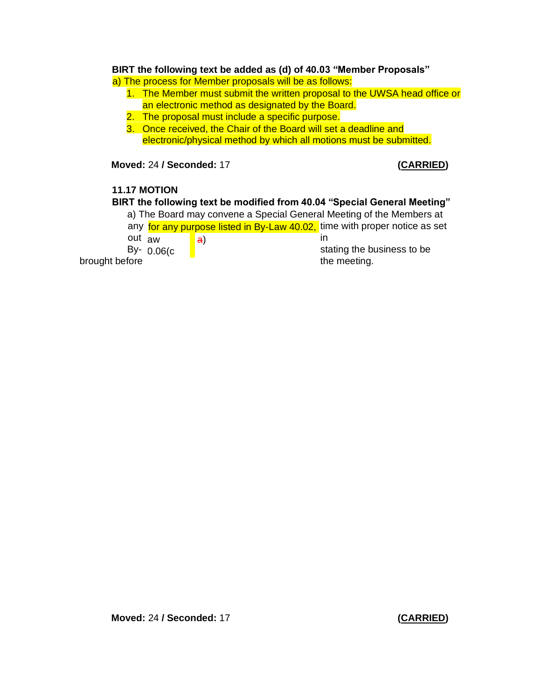# **BIRT the following text be added as (d) of 40.03 "Member Proposals"**

a) The process for Member proposals will be as follows:

- 1. The Member must submit the written proposal to the UWSA head office or an electronic method as designated by the Board.
- 2. The proposal must include a specific purpose.
- 3. Once received, the Chair of the Board will set a deadline and electronic/physical method by which all motions must be submitted.

**Moved:** 24 **/ Seconded:** 17 **(CARRIED)**

## **11.17 MOTION**

## **BIRT the following text be modified from 40.04 "Special General Meeting"**

a) The Board may convene a Special General Meeting of the Members at any for any purpose listed in By-Law 40.02, time with proper notice as set

out <sub>aw</sub> a) in

a)

 $By - 0.06(c)$ 

brought before the meeting.

stating the business to be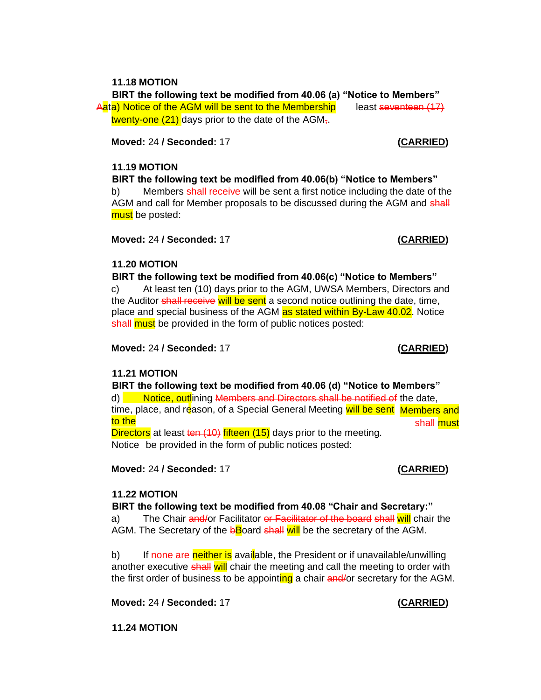#### **11.18 MOTION**

**BIRT the following text be modified from 40.06 (a) "Notice to Members"**  Aata) Notice of the AGM will be sent to the Membership least seventeen (17) twenty-one  $(21)$  days prior to the date of the AGM<sub> $\tau$ </sub>.

**Moved:** 24 **/ Seconded:** 17 **(CARRIED)**

#### **11.19 MOTION**

**BIRT the following text be modified from 40.06(b) "Notice to Members"**  b) Members shall receive will be sent a first notice including the date of the AGM and call for Member proposals to be discussed during the AGM and shall must be posted:

**Moved:** 24 **/ Seconded:** 17 **(CARRIED)**

## **11.20 MOTION**

**BIRT the following text be modified from 40.06(c) "Notice to Members"**  c) At least ten (10) days prior to the AGM, UWSA Members, Directors and the Auditor shall receive will be sent a second notice outlining the date, time, place and special business of the AGM as stated within By-Law 40.02. Notice shall must be provided in the form of public notices posted:

**Moved:** 24 **/ Seconded:** 17 **(CARRIED)**

## **11.21 MOTION**

**BIRT the following text be modified from 40.06 (d) "Notice to Members"** 

d) Notice, outlining Members and Directors shall be notified of the date, time, place, and reason, of a Special General Meeting will be sent Members and to the Directors at least ten (10) fifteen (15) days prior to the meeting. shall must

Notice be provided in the form of public notices posted:

**Moved:** 24 **/ Seconded:** 17 **(CARRIED)**

## **11.22 MOTION**

**BIRT the following text be modified from 40.08 "Chair and Secretary:"** 

a) The Chair and/or Facilitator or Facilitator of the board shall will chair the AGM. The Secretary of the bBoard shall will be the secretary of the AGM.

b) If none are neither is available, the President or if unavailable/unwilling another executive shall will chair the meeting and call the meeting to order with the first order of business to be appointing a chair and/or secretary for the AGM.

**Moved:** 24 **/ Seconded:** 17 **(CARRIED)**

**11.24 MOTION**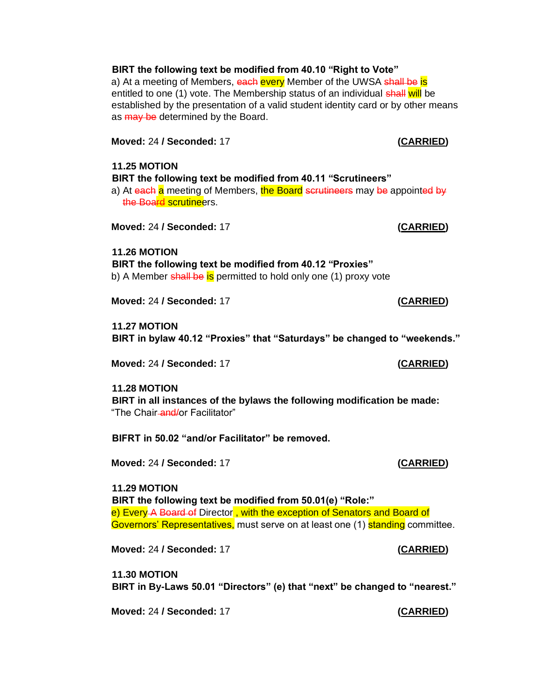#### **BIRT the following text be modified from 40.10 "Right to Vote"**

a) At a meeting of Members, each every Member of the UWSA shall be is entitled to one (1) vote. The Membership status of an individual shall will be established by the presentation of a valid student identity card or by other means as may be determined by the Board.

**Moved:** 24 **/ Seconded:** 17 **(CARRIED)**

#### **11.25 MOTION**

**BIRT the following text be modified from 40.11 "Scrutineers"** 

a) At each a meeting of Members, the Board scrutineers may be appointed by the Board scrutineers.

**Moved:** 24 **/ Seconded:** 17 **(CARRIED)**

#### **11.26 MOTION**

**BIRT the following text be modified from 40.12 "Proxies"**  b) A Member shall be is permitted to hold only one (1) proxy vote

**Moved:** 24 **/ Seconded:** 17 **(CARRIED)**

#### **11.27 MOTION**

**BIRT in bylaw 40.12 "Proxies" that "Saturdays" be changed to "weekends."** 

**Moved:** 24 **/ Seconded:** 17 **(CARRIED)**

#### **11.28 MOTION**

**BIRT in all instances of the bylaws the following modification be made:**  "The Chair and/or Facilitator"

**BIFRT in 50.02 "and/or Facilitator" be removed.** 

**Moved:** 24 **/ Seconded:** 17 **(CARRIED)**

#### **11.29 MOTION**

**BIRT the following text be modified from 50.01(e) "Role:"**  e) Every A Board of Director, with the exception of Senators and Board of Governors' Representatives, must serve on at least one (1) standing committee.

**Moved:** 24 **/ Seconded:** 17 **(CARRIED)**

**11.30 MOTION BIRT in By-Laws 50.01 "Directors" (e) that "next" be changed to "nearest."** 

**Moved:** 24 **/ Seconded:** 17 **(CARRIED)**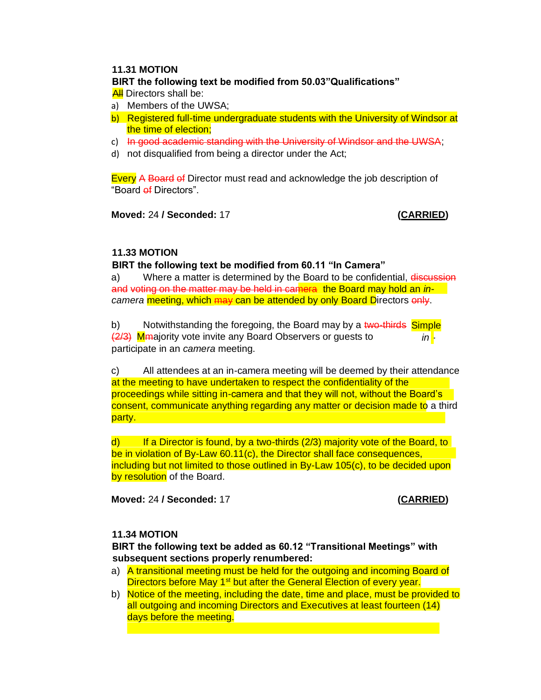# **11.31 MOTION**

**BIRT the following text be modified from 50.03"Qualifications" All** Directors shall be:

- a) Members of the UWSA;
- b) Registered full-time undergraduate students with the University of Windsor at the time of election;
- c) In good academic standing with the University of Windsor and the UWSA;
- d) not disqualified from being a director under the Act;

Every A Board of Director must read and acknowledge the job description of "Board of Directors".

**Moved:** 24 **/ Seconded:** 17 **(CARRIED)**

#### **11.33 MOTION**

**BIRT the following text be modified from 60.11 "In Camera"** 

a) Where a matter is determined by the Board to be confidential, discussion and voting on the matter may be held in camera the Board may hold an *in*camera **meeting, which may can be attended by only Board Directors only.** 

b) Motwithstanding the foregoing, the Board may by a <del>two-thirds</del> Simple (2/3) Mmajority vote invite any Board Observers or guests to participate in an *camera* meeting. *in -*

c) All attendees at an in-camera meeting will be deemed by their attendance at the meeting to have undertaken to respect the confidentiality of the proceedings while sitting in-camera and that they will not, without the Board's consent, communicate anything regarding any matter or decision made to a third party.

d) If a Director is found, by a two-thirds  $(2/3)$  majority vote of the Board, to be in violation of By-Law 60.11(c), the Director shall face consequences, including but not limited to those outlined in By-Law 105(c), to be decided upon by resolution of the Board.

**Moved:** 24 **/ Seconded:** 17 **(CARRIED)**

#### **11.34 MOTION**

**BIRT the following text be added as 60.12 "Transitional Meetings" with subsequent sections properly renumbered:** 

- a) A transitional meeting must be held for the outgoing and incoming Board of Directors before May 1<sup>st</sup> but after the General Election of every year.
- b) Notice of the meeting, including the date, time and place, must be provided to all outgoing and incoming Directors and Executives at least fourteen (14) days before the meeting.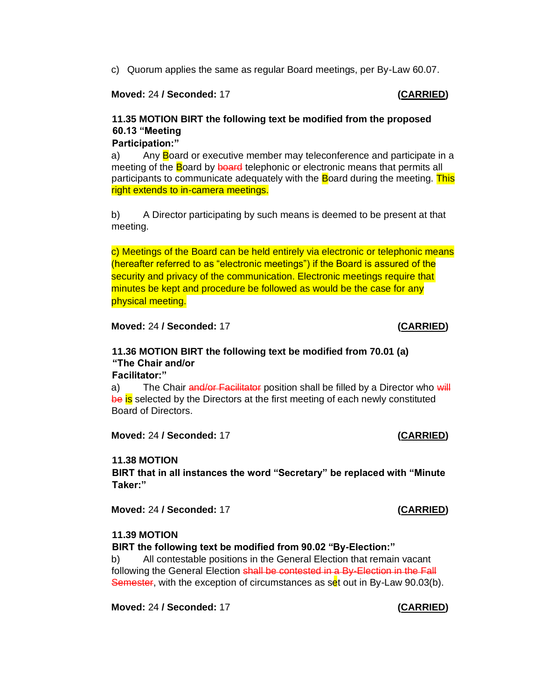c) Quorum applies the same as regular Board meetings, per By-Law 60.07.

#### **Moved:** 24 **/ Seconded:** 17 **(CARRIED)**

# **11.35 MOTION BIRT the following text be modified from the proposed 60.13 "Meeting**

**Participation:"** 

a) Any **B**oard or executive member may teleconference and participate in a meeting of the **Board by <del>board</del> telephonic or electronic means that permits all** participants to communicate adequately with the Board during the meeting. This right extends to in-camera meetings.

b) A Director participating by such means is deemed to be present at that meeting.

c) Meetings of the Board can be held entirely via electronic or telephonic means (hereafter referred to as "electronic meetings") if the Board is assured of the security and privacy of the communication. Electronic meetings require that minutes be kept and procedure be followed as would be the case for any physical meeting.

**Moved:** 24 **/ Seconded:** 17 **(CARRIED)**

# **11.36 MOTION BIRT the following text be modified from 70.01 (a) "The Chair and/or**

**Facilitator:"** 

a) The Chair and/or Facilitator position shall be filled by a Director who will be is selected by the Directors at the first meeting of each newly constituted Board of Directors.

**Moved:** 24 **/ Seconded:** 17 **(CARRIED)**

## **11.38 MOTION**

**BIRT that in all instances the word "Secretary" be replaced with "Minute Taker:"** 

**Moved:** 24 **/ Seconded:** 17 **(CARRIED)**

# **11.39 MOTION**

**BIRT the following text be modified from 90.02 "By-Election:"** 

b) All contestable positions in the General Election that remain vacant following the General Election shall be contested in a By-Election in the Fall Semester, with the exception of circumstances as set out in By-Law 90.03(b).

**Moved:** 24 **/ Seconded:** 17 **(CARRIED)**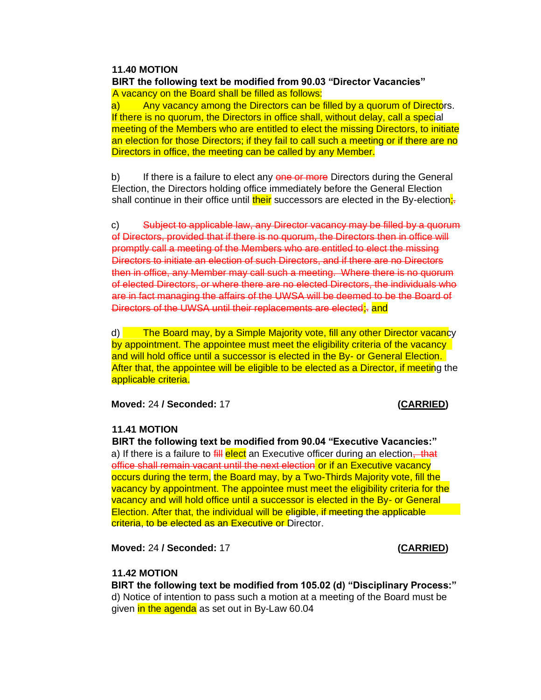#### **11.40 MOTION**

#### **BIRT the following text be modified from 90.03 "Director Vacancies"**  A vacancy on the Board shall be filled as follows:

a) Any vacancy among the Directors can be filled by a quorum of Directors. If there is no quorum, the Directors in office shall, without delay, call a special meeting of the Members who are entitled to elect the missing Directors, to initiate an election for those Directors; if they fail to call such a meeting or if there are no Directors in office, the meeting can be called by any Member.

b) If there is a failure to elect any one or more Directors during the General Election, the Directors holding office immediately before the General Election shall continue in their office until their successors are elected in the By-election $\cdot$ .

c) Subject to applicable law, any Director vacancy may be filled by a quorum of Directors, provided that if there is no quorum, the Directors then in office will promptly call a meeting of the Members who are entitled to elect the missing Directors to initiate an election of such Directors, and if there are no Directors then in office, any Member may call such a meeting. Where there is no quorum of elected Directors, or where there are no elected Directors, the individuals who are in fact managing the affairs of the UWSA will be deemed to be the Board of Directors of the UWSA until their replacements are elected: and

d) The Board may, by a Simple Majority vote, fill any other Director vacancy by appointment. The appointee must meet the eligibility criteria of the vacancy and will hold office until a successor is elected in the By- or General Election. After that, the appointee will be eligible to be elected as a Director, if meeting the applicable criteria.

**Moved:** 24 **/ Seconded:** 17 **(CARRIED)**

#### **11.41 MOTION**

**BIRT the following text be modified from 90.04 "Executive Vacancies:"**  a) If there is a failure to  $\frac{d}{dt}$  elect an Executive officer during an election, that office shall remain vacant until the next election or if an Executive vacancy occurs during the term, the Board may, by a Two-Thirds Majority vote, fill the vacancy by appointment. The appointee must meet the eligibility criteria for the vacancy and will hold office until a successor is elected in the By- or General Election. After that, the individual will be eligible, if meeting the applicable criteria, to be elected as an Executive or Director.

**Moved:** 24 **/ Seconded:** 17 **(CARRIED)**

#### **11.42 MOTION**

**BIRT the following text be modified from 105.02 (d) "Disciplinary Process:"**  d) Notice of intention to pass such a motion at a meeting of the Board must be given in the agenda as set out in By-Law 60.04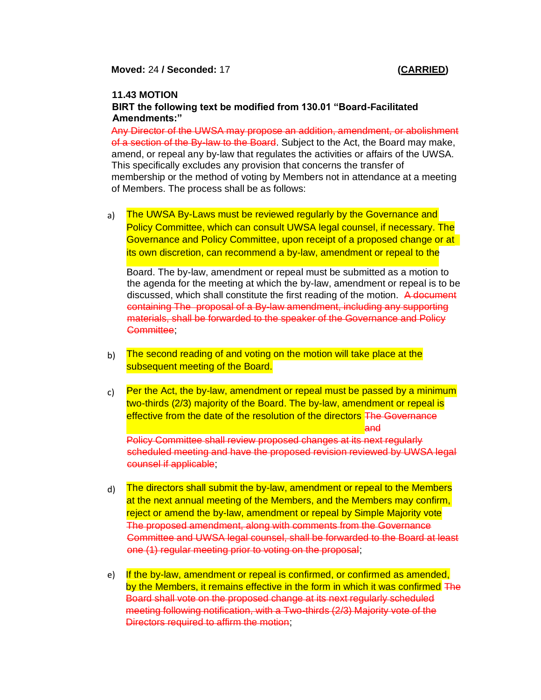#### **11.43 MOTION**

#### **BIRT the following text be modified from 130.01 "Board-Facilitated Amendments:"**

Any Director of the UWSA may propose an addition, amendment, or abolishment of a section of the By-law to the Board. Subject to the Act, the Board may make, amend, or repeal any by-law that regulates the activities or affairs of the UWSA. This specifically excludes any provision that concerns the transfer of membership or the method of voting by Members not in attendance at a meeting of Members. The process shall be as follows:

a) The UWSA By-Laws must be reviewed regularly by the Governance and Policy Committee, which can consult UWSA legal counsel, if necessary. The Governance and Policy Committee, upon receipt of a proposed change or at its own discretion, can recommend a by-law, amendment or repeal to the

Board. The by-law, amendment or repeal must be submitted as a motion to the agenda for the meeting at which the by-law, amendment or repeal is to be discussed, which shall constitute the first reading of the motion. A document containing The proposal of a By-law amendment, including any supporting materials, shall be forwarded to the speaker of the Governance and Policy Committee;

- b) The second reading of and voting on the motion will take place at the subsequent meeting of the Board.
- c) Policy Committee shall review proposed changes at its next regularly scheduled meeting and have the proposed revision reviewed by UWSA legal counsel if applicable; Per the Act, the by-law, amendment or repeal must be passed by a minimum two-thirds (2/3) majority of the Board. The by-law, amendment or repeal is effective from the date of the resolution of the directors The Governance and
- d) The proposed amendment, along with comments from the Governance Committee and UWSA legal counsel, shall be forwarded to the Board at least one (1) regular meeting prior to voting on the proposal; The directors shall submit the by-law, amendment or repeal to the Members at the next annual meeting of the Members, and the Members may confirm, reject or amend the by-law, amendment or repeal by Simple Majority vote
- e) If the by-law, amendment or repeal is confirmed, or confirmed as amended, by the Members, it remains effective in the form in which it was confirmed The Board shall vote on the proposed change at its next regularly scheduled meeting following notification, with a Two-thirds (2/3) Majority vote of the Directors required to affirm the motion;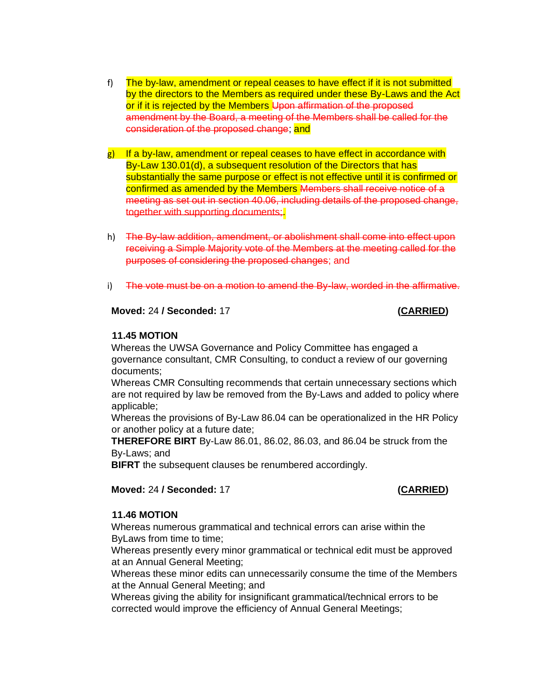- f) The by-law, amendment or repeal ceases to have effect if it is not submitted by the directors to the Members as required under these By-Laws and the Act or if it is rejected by the Members Upon affirmation of the proposed amendment by the Board, a meeting of the Members shall be called for the consideration of the proposed change; and
- g) If a by-law, amendment or repeal ceases to have effect in accordance with By-Law 130.01(d), a subsequent resolution of the Directors that has substantially the same purpose or effect is not effective until it is confirmed or confirmed as amended by the Members Members shall receive notice of a meeting as set out in section 40.06, including details of the proposed change, together with supporting documents;
- h) The By-law addition, amendment, or abolishment shall come into effect upon receiving a Simple Majority vote of the Members at the meeting called for the purposes of considering the proposed changes; and
- i) The vote must be on a motion to amend the By-law, worded in the affirmative.

#### **Moved:** 24 **/ Seconded:** 17 **(CARRIED)**

#### **11.45 MOTION**

Whereas the UWSA Governance and Policy Committee has engaged a governance consultant, CMR Consulting, to conduct a review of our governing documents;

Whereas CMR Consulting recommends that certain unnecessary sections which are not required by law be removed from the By-Laws and added to policy where applicable;

Whereas the provisions of By-Law 86.04 can be operationalized in the HR Policy or another policy at a future date;

**THEREFORE BIRT** By-Law 86.01, 86.02, 86.03, and 86.04 be struck from the By-Laws; and

**BIFRT** the subsequent clauses be renumbered accordingly.

**Moved:** 24 **/ Seconded:** 17 **(CARRIED)**

## **11.46 MOTION**

Whereas numerous grammatical and technical errors can arise within the ByLaws from time to time;

Whereas presently every minor grammatical or technical edit must be approved at an Annual General Meeting;

Whereas these minor edits can unnecessarily consume the time of the Members at the Annual General Meeting; and

Whereas giving the ability for insignificant grammatical/technical errors to be corrected would improve the efficiency of Annual General Meetings;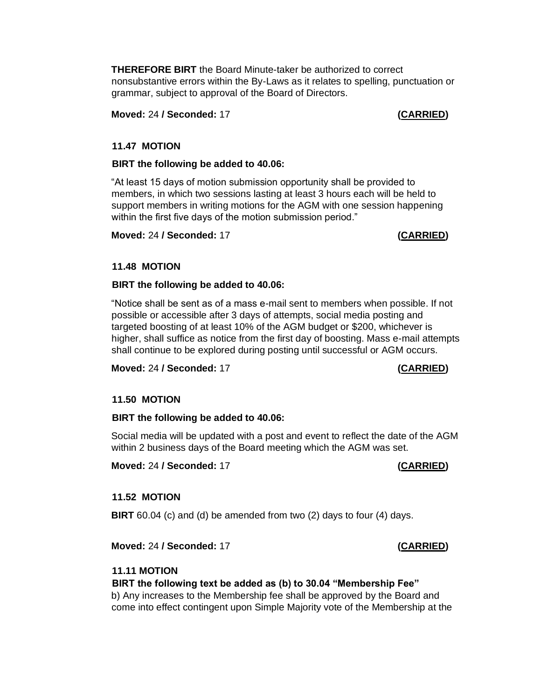**THEREFORE BIRT** the Board Minute-taker be authorized to correct nonsubstantive errors within the By-Laws as it relates to spelling, punctuation or grammar, subject to approval of the Board of Directors.

**Moved:** 24 **/ Seconded:** 17 **(CARRIED)**

# **11.47 MOTION**

#### **BIRT the following be added to 40.06:**

"At least 15 days of motion submission opportunity shall be provided to members, in which two sessions lasting at least 3 hours each will be held to support members in writing motions for the AGM with one session happening within the first five days of the motion submission period."

**Moved:** 24 **/ Seconded:** 17 **(CARRIED)**

## **11.48 MOTION**

## **BIRT the following be added to 40.06:**

"Notice shall be sent as of a mass e-mail sent to members when possible. If not possible or accessible after 3 days of attempts, social media posting and targeted boosting of at least 10% of the AGM budget or \$200, whichever is higher, shall suffice as notice from the first day of boosting. Mass e-mail attempts shall continue to be explored during posting until successful or AGM occurs.

**Moved:** 24 **/ Seconded:** 17 **(CARRIED)**

# **11.50 MOTION**

## **BIRT the following be added to 40.06:**

Social media will be updated with a post and event to reflect the date of the AGM within 2 business days of the Board meeting which the AGM was set.

**Moved:** 24 **/ Seconded:** 17 **(CARRIED)**

## **11.52 MOTION**

**BIRT** 60.04 (c) and (d) be amended from two (2) days to four (4) days.

**Moved:** 24 **/ Seconded:** 17 **(CARRIED)**

# **11.11 MOTION**

# **BIRT the following text be added as (b) to 30.04 "Membership Fee"**

b) Any increases to the Membership fee shall be approved by the Board and come into effect contingent upon Simple Majority vote of the Membership at the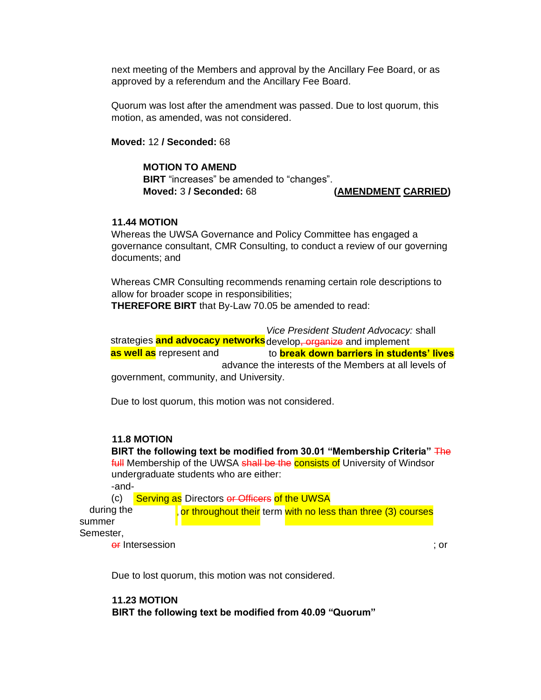next meeting of the Members and approval by the Ancillary Fee Board, or as approved by a referendum and the Ancillary Fee Board.

Quorum was lost after the amendment was passed. Due to lost quorum, this motion, as amended, was not considered.

**Moved:** 12 **/ Seconded:** 68

#### **MOTION TO AMEND**

**BIRT** "increases" be amended to "changes". **Moved:** 3 **/ Seconded:** 68 **(AMENDMENT CARRIED)** 

#### **11.44 MOTION**

Whereas the UWSA Governance and Policy Committee has engaged a governance consultant, CMR Consulting, to conduct a review of our governing documents; and

Whereas CMR Consulting recommends renaming certain role descriptions to allow for broader scope in responsibilities;

**THEREFORE BIRT** that By-Law 70.05 be amended to read:

*Vice President Student Advocacy:* shall

strategies <mark>and advocacy networks</mark> develop<del>, organize</del> and implement to **break down barriers in students' lives** advance the interests of the Members at all levels of government, community, and University. **as well as** represent and

Due to lost quorum, this motion was not considered.

#### **11.8 MOTION**

BIRT the following text be modified from 30.01 "Membership Criteria" The **full** Membership of the UWSA shall be the consists of University of Windsor undergraduate students who are either:

-and-

(c) Serving as Directors or Officers of the UWSA

during the summer Semester, or throughout their term with no less than three (3) courses

or Intersession ; or

Due to lost quorum, this motion was not considered.

#### **11.23 MOTION BIRT the following text be modified from 40.09 "Quorum"**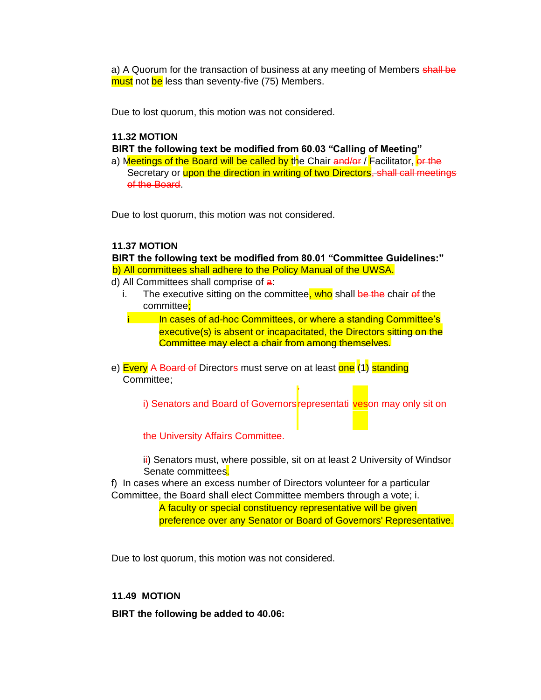a) A Quorum for the transaction of business at any meeting of Members shall be must not be less than seventy-five (75) Members.

Due to lost quorum, this motion was not considered.

#### **11.32 MOTION**

**BIRT the following text be modified from 60.03 "Calling of Meeting"** 

a) Meetings of the Board will be called by the Chair and/or / Facilitator, or the Secretary or upon the direction in writing of two Directors, shall call meetings of the Board.

Due to lost quorum, this motion was not considered.

#### **11.37 MOTION**

**BIRT the following text be modified from 80.01 "Committee Guidelines:"**  b) All committees shall adhere to the Policy Manual of the UWSA.

- d) All Committees shall comprise of a:
	- i. The executive sitting on the committee, who shall be the chair of the committee:

i In cases of ad-hoc Committees, or where a standing Committee's executive(s) is absent or incapacitated, the Directors sitting on the Committee may elect a chair from among themselves.

e) Every A Board of Directors must serve on at least one (1) standing Committee;

> i) Senators and Board of Governors representati veson may only sit on '

the University Affairs Committee.

ii) Senators must, where possible, sit on at least 2 University of Windsor Senate committees.

f) In cases where an excess number of Directors volunteer for a particular Committee, the Board shall elect Committee members through a vote; i.

> A faculty or special constituency representative will be given preference over any Senator or Board of Governors' Representative.

Due to lost quorum, this motion was not considered.

#### **11.49 MOTION**

**BIRT the following be added to 40.06:**